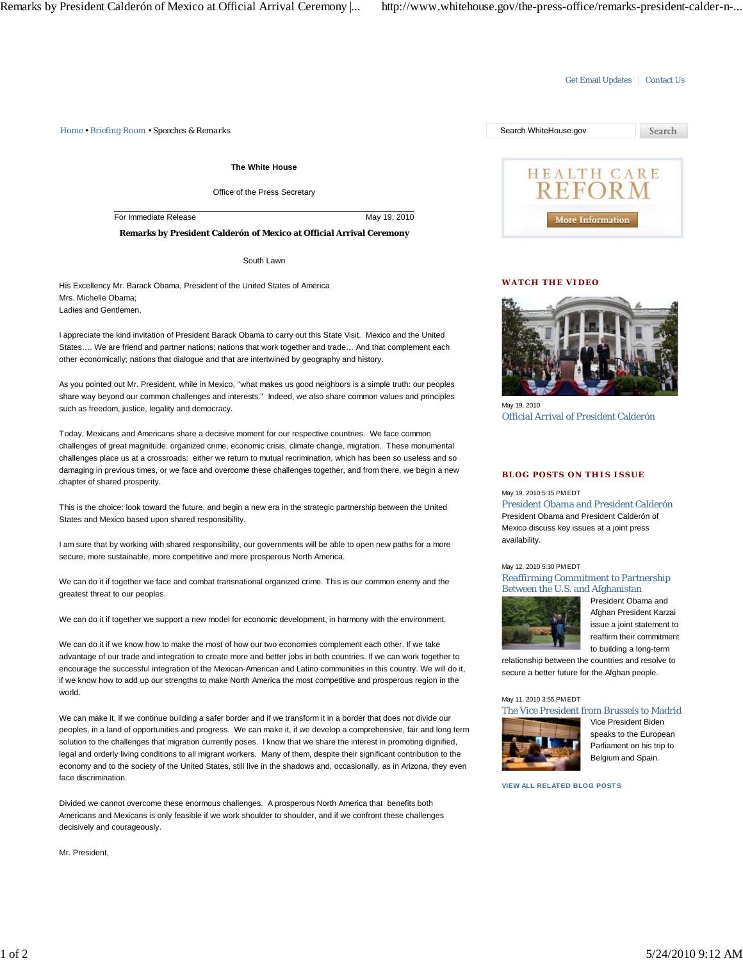*Home • Briefing Room • Speeches & Remarks* Search WhiteHouse.gov

**The White House**

Office of the Press Secretary

For Immediate Release May 19, 2010

**Remarks by President Calderón of Mexico at Official Arrival Ceremony**

South Lawn

His Excellency Mr. Barack Obama, President of the United States of America Mrs. Michelle Obama; Ladies and Gentlemen,

I appreciate the kind invitation of President Barack Obama to carry out this State Visit. Mexico and the United States…. We are friend and partner nations; nations that work together and trade… And that complement each other economically; nations that dialogue and that are intertwined by geography and history.

As you pointed out Mr. President, while in Mexico, "what makes us good neighbors is a simple truth: our peoples share way beyond our common challenges and interests." Indeed, we also share common values and principles such as freedom, justice, legality and democracy.

Today, Mexicans and Americans share a decisive moment for our respective countries. We face common challenges of great magnitude: organized crime, economic crisis, climate change, migration. These monumental challenges place us at a crossroads: either we return to mutual recrimination, which has been so useless and so damaging in previous times, or we face and overcome these challenges together, and from there, we begin a new chapter of shared prosperity.

This is the choice: look toward the future, and begin a new era in the strategic partnership between the United States and Mexico based upon shared responsibility.

I am sure that by working with shared responsibility, our governments will be able to open new paths for a more secure, more sustainable, more competitive and more prosperous North America.

We can do it if together we face and combat transnational organized crime. This is our common enemy and the greatest threat to our peoples.

We can do it if together we support a new model for economic development, in harmony with the environment.

We can do it if we know how to make the most of how our two economies complement each other. If we take advantage of our trade and integration to create more and better jobs in both countries. If we can work together to encourage the successful integration of the Mexican-American and Latino communities in this country. We will do it, if we know how to add up our strengths to make North America the most competitive and prosperous region in the world.

We can make it, if we continue building a safer border and if we transform it in a border that does not divide our peoples, in a land of opportunities and progress. We can make it, if we develop a comprehensive, fair and long term solution to the challenges that migration currently poses. I know that we share the interest in promoting dignified, legal and orderly living conditions to all migrant workers. Many of them, despite their significant contribution to the economy and to the society of the United States, still live in the shadows and, occasionally, as in Arizona, they even face discrimination.

Divided we cannot overcome these enormous challenges. A prosperous North America that benefits both Americans and Mexicans is only feasible if we work shoulder to shoulder, and if we confront these challenges decisively and courageously.

Mr. President,



Get Email Updates | Contact Us

### **WATCH THE VIDEO**



May 19, 2010 Official Arrival of President Calderón

### **BLOG POSTS ON THIS ISSUE**

May 19, 2010 5:15 PM EDT

President Obama and President Calderón President Obama and President Calderón of Mexico discuss key issues at a joint press availability.

## May 12, 2010 5:30 PM EDT

Reaffirming Commitment to Partnership Between the U.S. and Afghanistan



President Obama and Afghan President Karzai issue a joint statement to reaffirm their commitment to building a long-term

relationship between the countries and resolve to secure a better future for the Afghan people.

#### May 11, 2010 3:55 PM EDT



Vice President Biden speaks to the European Parliament on his trip to Belgium and Spain.

**VIEW ALL RELATED BLOG POSTS**